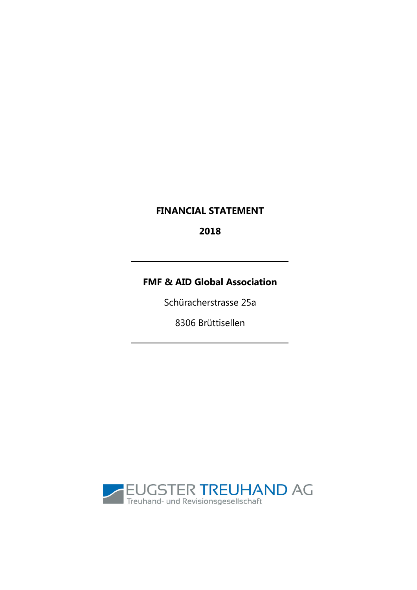## **FINANCIAL STATEMENT**

2018

# **FMF & AID Global Association**

Schüracherstrasse 25a

8306 Brüttisellen

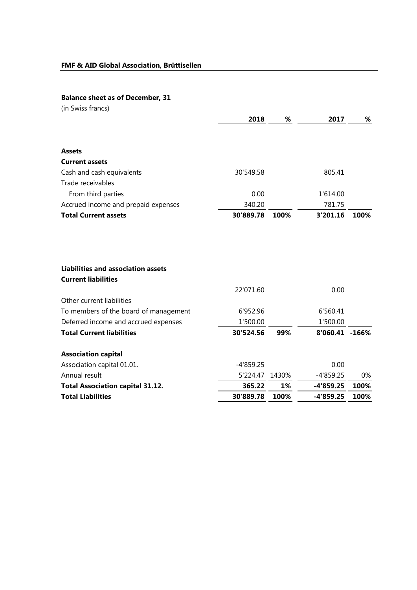### **Balance sheet as of December, 31**

| (in Swiss francs)                         |             |       |                |      |
|-------------------------------------------|-------------|-------|----------------|------|
|                                           | 2018        | %     | 2017           | %    |
| <b>Assets</b>                             |             |       |                |      |
| <b>Current assets</b>                     |             |       |                |      |
| Cash and cash equivalents                 | 30'549.58   |       | 805.41         |      |
| Trade receivables                         |             |       |                |      |
| From third parties                        | 0.00        |       | 1'614.00       |      |
| Accrued income and prepaid expenses       | 340.20      |       | 781.75         |      |
| <b>Total Current assets</b>               | 30'889.78   | 100%  | 3'201.16       | 100% |
| <b>Liabilities and association assets</b> |             |       |                |      |
| <b>Current liabilities</b>                |             |       |                |      |
|                                           | 22'071.60   |       | 0.00           |      |
| Other current liabilities                 |             |       |                |      |
| To members of the board of management     | 6'952.96    |       | 6'560.41       |      |
| Deferred income and accrued expenses      | 1'500.00    |       | 1'500.00       |      |
| <b>Total Current liabilities</b>          | 30'524.56   | 99%   | 8'060.41 -166% |      |
| <b>Association capital</b>                |             |       |                |      |
| Association capital 01.01.                | $-4'859.25$ |       | 0.00           |      |
| Annual result                             | 5'224.47    | 1430% | $-4'859.25$    | 0%   |
| <b>Total Association capital 31.12.</b>   | 365.22      | 1%    | $-4'859.25$    | 100% |
| <b>Total Liabilities</b>                  | 30'889.78   | 100%  | -4'859.25      | 100% |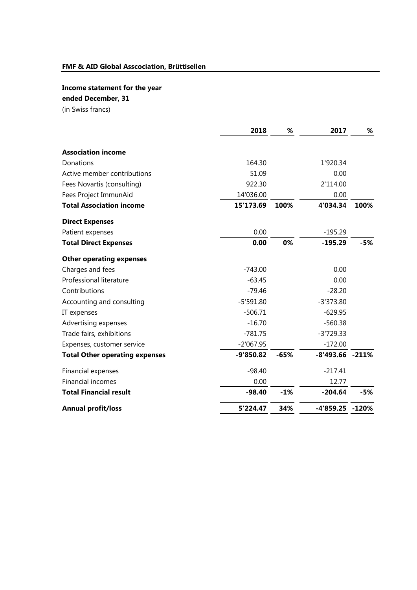## **Income statement for the year**

## **ended December, 31**

(in Swiss francs)

|                                       | 2018        | %      | 2017                | %     |
|---------------------------------------|-------------|--------|---------------------|-------|
|                                       |             |        |                     |       |
| <b>Association income</b>             |             |        |                     |       |
| Donations                             | 164.30      |        | 1'920.34            |       |
| Active member contributions           | 51.09       |        | 0.00                |       |
| Fees Novartis (consulting)            | 922.30      |        | 2'114.00            |       |
| Fees Project ImmunAid                 | 14'036.00   |        | 0.00                |       |
| <b>Total Association income</b>       | 15'173.69   | 100%   | 4'034.34            | 100%  |
| <b>Direct Expenses</b>                |             |        |                     |       |
| Patient expenses                      | 0.00        |        | $-195.29$           |       |
| <b>Total Direct Expenses</b>          | 0.00        | 0%     | $-195.29$           | $-5%$ |
| <b>Other operating expenses</b>       |             |        |                     |       |
| Charges and fees                      | $-743.00$   |        | 0.00                |       |
| Professional literature               | $-63.45$    |        | 0.00                |       |
| Contributions                         | $-79.46$    |        | $-28.20$            |       |
| Accounting and consulting             | $-5'591.80$ |        | $-3'373.80$         |       |
| IT expenses                           | $-506.71$   |        | $-629.95$           |       |
| Advertising expenses                  | $-16.70$    |        | $-560.38$           |       |
| Trade fairs, exhibitions              | $-781.75$   |        | $-3'729.33$         |       |
| Expenses, customer service            | $-2'067.95$ |        | $-172.00$           |       |
| <b>Total Other operating expenses</b> | $-9'850.82$ | $-65%$ | $-8'493.66 - 211\%$ |       |
| Financial expenses                    | $-98.40$    |        | $-217.41$           |       |
| <b>Financial incomes</b>              | 0.00        |        | 12.77               |       |
| <b>Total Financial result</b>         | $-98.40$    | $-1%$  | $-204.64$           | $-5%$ |
| <b>Annual profit/loss</b>             | 5'224.47    | 34%    | -4'859.25 -120%     |       |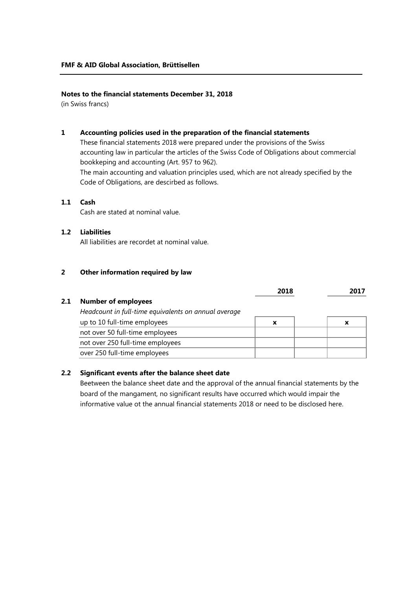### **Notes to the financial statements December 31, 2018**

(in Swiss francs)

#### **1 Accounting policies used in the preparation of the financial statements**

These financial statements 2018 were prepared under the provisions of the Swiss accounting law in particular the articles of the Swiss Code of Obligations about commercial bookkeping and accounting (Art. 957 to 962).

The main accounting and valuation principles used, which are not already specified by the Code of Obligations, are descirbed as follows.

### **1.1 Cash**

Cash are stated at nominal value.

### **1.2 Liabilities**

All liabilities are recordet at nominal value.

#### **2 Other information required by law**

|     |                                                      | 2018 |   |
|-----|------------------------------------------------------|------|---|
| 2.1 | <b>Number of employees</b>                           |      |   |
|     | Headcount in full-time equivalents on annual average |      |   |
|     | up to 10 full-time employees                         | X    | X |
|     | not over 50 full-time employees                      |      |   |
|     | not over 250 full-time employees                     |      |   |
|     | over 250 full-time employees                         |      |   |

### **2.2 Significant events after the balance sheet date**

Beetween the balance sheet date and the approval of the annual financial statements by the board of the mangament, no significant results have occurred which would impair the informative value ot the annual financial statements 2018 or need to be disclosed here.